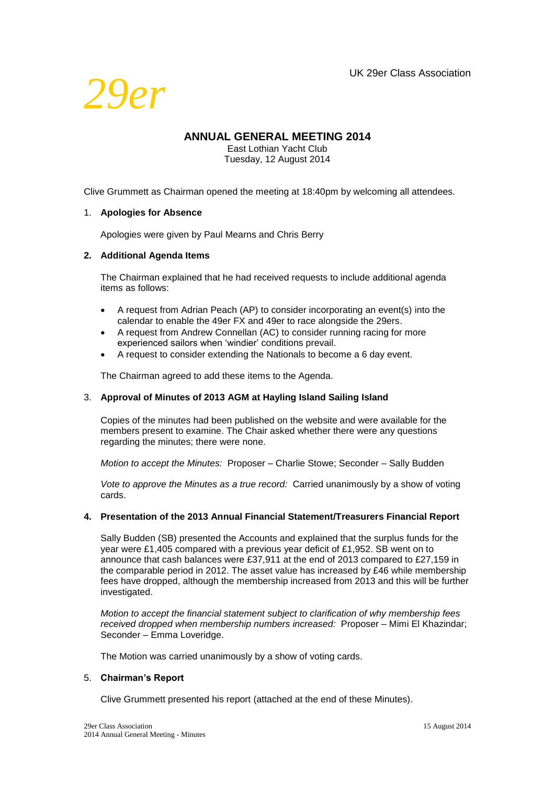

# **ANNUAL GENERAL MEETING 2014**

East Lothian Yacht Club Tuesday, 12 August 2014

Clive Grummett as Chairman opened the meeting at 18:40pm by welcoming all attendees.

#### 1. **Apologies for Absence**

Apologies were given by Paul Mearns and Chris Berry

#### **2. Additional Agenda Items**

The Chairman explained that he had received requests to include additional agenda items as follows:

- A request from Adrian Peach (AP) to consider incorporating an event(s) into the calendar to enable the 49er FX and 49er to race alongside the 29ers.
- A request from Andrew Connellan (AC) to consider running racing for more experienced sailors when 'windier' conditions prevail.
- A request to consider extending the Nationals to become a 6 day event.

The Chairman agreed to add these items to the Agenda.

## 3. **Approval of Minutes of 2013 AGM at Hayling Island Sailing Island**

Copies of the minutes had been published on the website and were available for the members present to examine. The Chair asked whether there were any questions regarding the minutes; there were none.

*Motion to accept the Minutes:* Proposer – Charlie Stowe; Seconder – Sally Budden

*Vote to approve the Minutes as a true record:* Carried unanimously by a show of voting cards.

#### **4. Presentation of the 2013 Annual Financial Statement/Treasurers Financial Report**

Sally Budden (SB) presented the Accounts and explained that the surplus funds for the year were £1,405 compared with a previous year deficit of £1,952. SB went on to announce that cash balances were £37,911 at the end of 2013 compared to £27,159 in the comparable period in 2012. The asset value has increased by £46 while membership fees have dropped, although the membership increased from 2013 and this will be further investigated.

*Motion to accept the financial statement subject to clarification of why membership fees received dropped when membership numbers increased:* Proposer – Mimi El Khazindar; Seconder – Emma Loveridge.

The Motion was carried unanimously by a show of voting cards.

#### 5. **Chairman's Report**

Clive Grummett presented his report (attached at the end of these Minutes).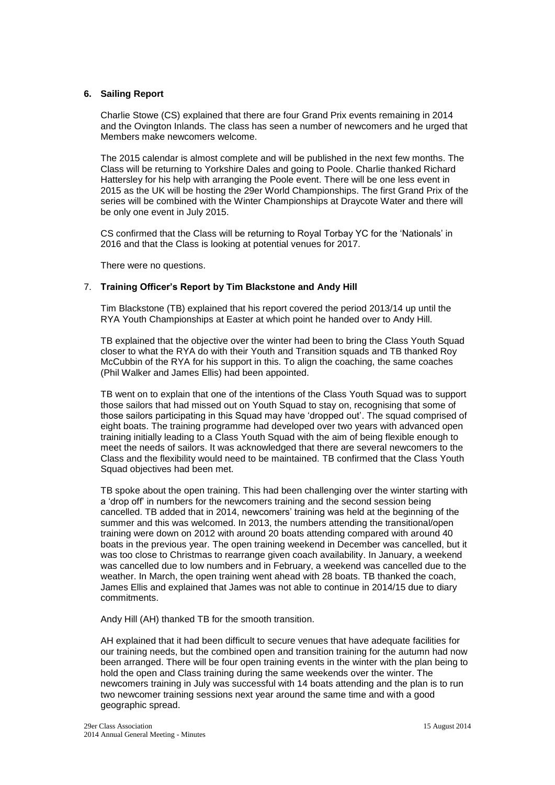#### **6. Sailing Report**

Charlie Stowe (CS) explained that there are four Grand Prix events remaining in 2014 and the Ovington Inlands. The class has seen a number of newcomers and he urged that Members make newcomers welcome.

The 2015 calendar is almost complete and will be published in the next few months. The Class will be returning to Yorkshire Dales and going to Poole. Charlie thanked Richard Hattersley for his help with arranging the Poole event. There will be one less event in 2015 as the UK will be hosting the 29er World Championships. The first Grand Prix of the series will be combined with the Winter Championships at Draycote Water and there will be only one event in July 2015.

CS confirmed that the Class will be returning to Royal Torbay YC for the 'Nationals' in 2016 and that the Class is looking at potential venues for 2017.

There were no questions.

#### 7. **Training Officer's Report by Tim Blackstone and Andy Hill**

Tim Blackstone (TB) explained that his report covered the period 2013/14 up until the RYA Youth Championships at Easter at which point he handed over to Andy Hill.

TB explained that the objective over the winter had been to bring the Class Youth Squad closer to what the RYA do with their Youth and Transition squads and TB thanked Roy McCubbin of the RYA for his support in this. To align the coaching, the same coaches (Phil Walker and James Ellis) had been appointed.

TB went on to explain that one of the intentions of the Class Youth Squad was to support those sailors that had missed out on Youth Squad to stay on, recognising that some of those sailors participating in this Squad may have 'dropped out'. The squad comprised of eight boats. The training programme had developed over two years with advanced open training initially leading to a Class Youth Squad with the aim of being flexible enough to meet the needs of sailors. It was acknowledged that there are several newcomers to the Class and the flexibility would need to be maintained. TB confirmed that the Class Youth Squad objectives had been met.

TB spoke about the open training. This had been challenging over the winter starting with a 'drop off' in numbers for the newcomers training and the second session being cancelled. TB added that in 2014, newcomers' training was held at the beginning of the summer and this was welcomed. In 2013, the numbers attending the transitional/open training were down on 2012 with around 20 boats attending compared with around 40 boats in the previous year. The open training weekend in December was cancelled, but it was too close to Christmas to rearrange given coach availability. In January, a weekend was cancelled due to low numbers and in February, a weekend was cancelled due to the weather. In March, the open training went ahead with 28 boats. TB thanked the coach, James Ellis and explained that James was not able to continue in 2014/15 due to diary commitments.

Andy Hill (AH) thanked TB for the smooth transition.

AH explained that it had been difficult to secure venues that have adequate facilities for our training needs, but the combined open and transition training for the autumn had now been arranged. There will be four open training events in the winter with the plan being to hold the open and Class training during the same weekends over the winter. The newcomers training in July was successful with 14 boats attending and the plan is to run two newcomer training sessions next year around the same time and with a good geographic spread.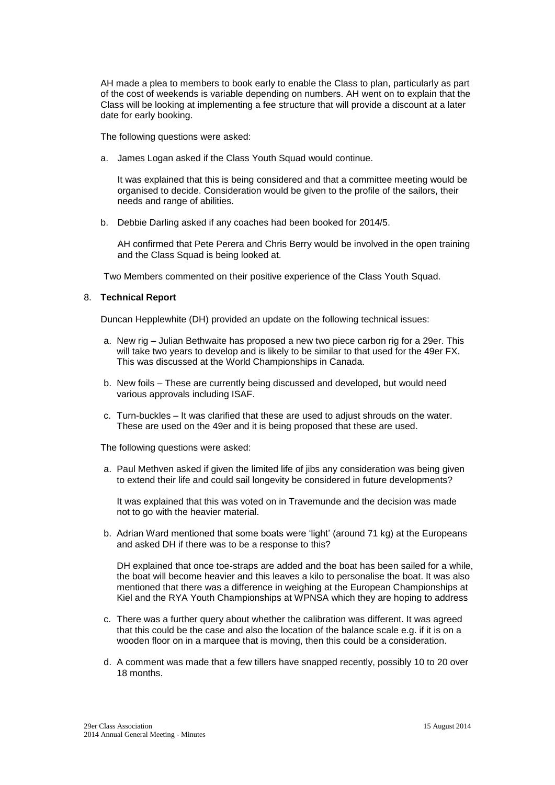AH made a plea to members to book early to enable the Class to plan, particularly as part of the cost of weekends is variable depending on numbers. AH went on to explain that the Class will be looking at implementing a fee structure that will provide a discount at a later date for early booking.

The following questions were asked:

a. James Logan asked if the Class Youth Squad would continue.

It was explained that this is being considered and that a committee meeting would be organised to decide. Consideration would be given to the profile of the sailors, their needs and range of abilities.

b. Debbie Darling asked if any coaches had been booked for 2014/5.

AH confirmed that Pete Perera and Chris Berry would be involved in the open training and the Class Squad is being looked at.

Two Members commented on their positive experience of the Class Youth Squad.

#### 8. **Technical Report**

Duncan Hepplewhite (DH) provided an update on the following technical issues:

- a. New rig Julian Bethwaite has proposed a new two piece carbon rig for a 29er. This will take two years to develop and is likely to be similar to that used for the 49er FX. This was discussed at the World Championships in Canada.
- b. New foils These are currently being discussed and developed, but would need various approvals including ISAF.
- c. Turn-buckles It was clarified that these are used to adjust shrouds on the water. These are used on the 49er and it is being proposed that these are used.

The following questions were asked:

a. Paul Methven asked if given the limited life of jibs any consideration was being given to extend their life and could sail longevity be considered in future developments?

It was explained that this was voted on in Travemunde and the decision was made not to go with the heavier material.

b. Adrian Ward mentioned that some boats were 'light' (around 71 kg) at the Europeans and asked DH if there was to be a response to this?

DH explained that once toe-straps are added and the boat has been sailed for a while, the boat will become heavier and this leaves a kilo to personalise the boat. It was also mentioned that there was a difference in weighing at the European Championships at Kiel and the RYA Youth Championships at WPNSA which they are hoping to address

- c. There was a further query about whether the calibration was different. It was agreed that this could be the case and also the location of the balance scale e.g. if it is on a wooden floor on in a marquee that is moving, then this could be a consideration.
- d. A comment was made that a few tillers have snapped recently, possibly 10 to 20 over 18 months.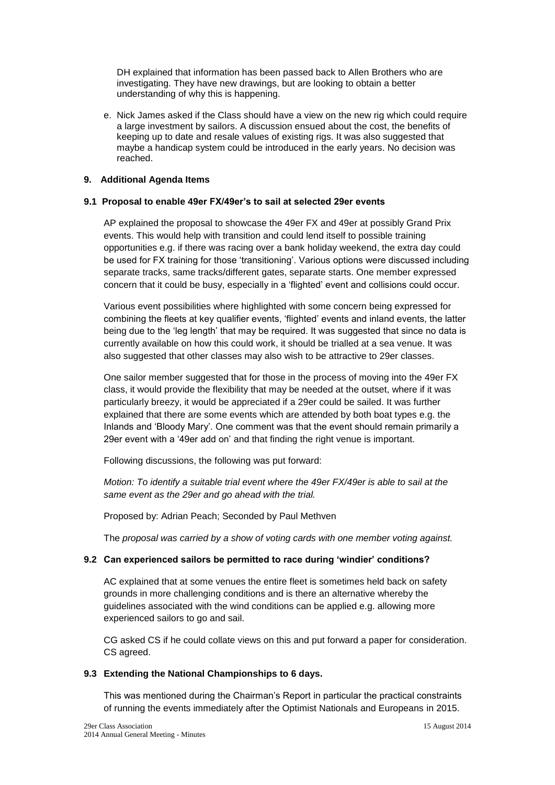DH explained that information has been passed back to Allen Brothers who are investigating. They have new drawings, but are looking to obtain a better understanding of why this is happening.

e. Nick James asked if the Class should have a view on the new rig which could require a large investment by sailors. A discussion ensued about the cost, the benefits of keeping up to date and resale values of existing rigs. It was also suggested that maybe a handicap system could be introduced in the early years. No decision was reached.

#### **9. Additional Agenda Items**

#### **9.1 Proposal to enable 49er FX/49er's to sail at selected 29er events**

AP explained the proposal to showcase the 49er FX and 49er at possibly Grand Prix events. This would help with transition and could lend itself to possible training opportunities e.g. if there was racing over a bank holiday weekend, the extra day could be used for FX training for those 'transitioning'. Various options were discussed including separate tracks, same tracks/different gates, separate starts. One member expressed concern that it could be busy, especially in a 'flighted' event and collisions could occur.

Various event possibilities where highlighted with some concern being expressed for combining the fleets at key qualifier events, 'flighted' events and inland events, the latter being due to the 'leg length' that may be required. It was suggested that since no data is currently available on how this could work, it should be trialled at a sea venue. It was also suggested that other classes may also wish to be attractive to 29er classes.

One sailor member suggested that for those in the process of moving into the 49er FX class, it would provide the flexibility that may be needed at the outset, where if it was particularly breezy, it would be appreciated if a 29er could be sailed. It was further explained that there are some events which are attended by both boat types e.g. the Inlands and 'Bloody Mary'. One comment was that the event should remain primarily a 29er event with a '49er add on' and that finding the right venue is important.

Following discussions, the following was put forward:

*Motion: To identify a suitable trial event where the 49er FX/49er is able to sail at the same event as the 29er and go ahead with the trial.*

Proposed by: Adrian Peach; Seconded by Paul Methven

The *proposal was carried by a show of voting cards with one member voting against.*

## **9.2 Can experienced sailors be permitted to race during 'windier' conditions?**

AC explained that at some venues the entire fleet is sometimes held back on safety grounds in more challenging conditions and is there an alternative whereby the guidelines associated with the wind conditions can be applied e.g. allowing more experienced sailors to go and sail.

CG asked CS if he could collate views on this and put forward a paper for consideration. CS agreed.

## **9.3 Extending the National Championships to 6 days.**

This was mentioned during the Chairman's Report in particular the practical constraints of running the events immediately after the Optimist Nationals and Europeans in 2015.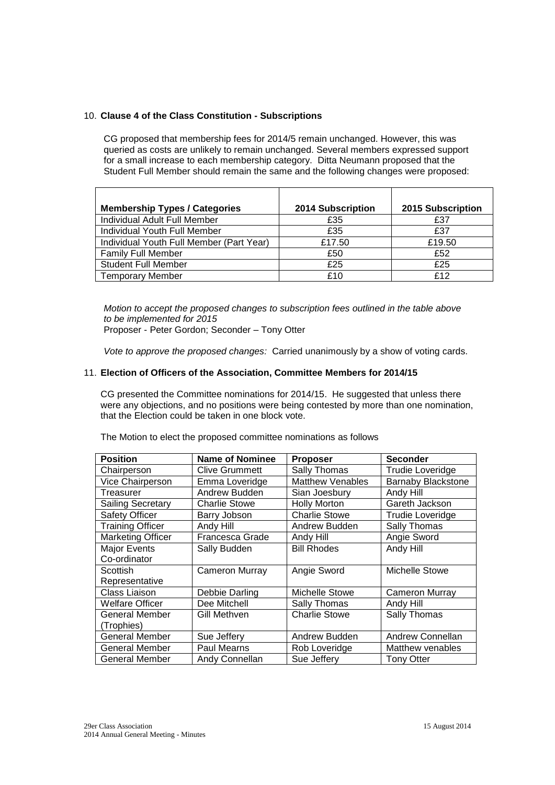#### 10. **Clause 4 of the Class Constitution - Subscriptions**

CG proposed that membership fees for 2014/5 remain unchanged. However, this was queried as costs are unlikely to remain unchanged. Several members expressed support for a small increase to each membership category. Ditta Neumann proposed that the Student Full Member should remain the same and the following changes were proposed:

| <b>Membership Types / Categories</b>     | 2014 Subscription | 2015 Subscription |
|------------------------------------------|-------------------|-------------------|
| Individual Adult Full Member             | £35               | £37               |
| Individual Youth Full Member             | £35               | £37               |
| Individual Youth Full Member (Part Year) | £17.50            | £19.50            |
| <b>Family Full Member</b>                | £50               | £52               |
| <b>Student Full Member</b>               | £25               | £25               |
| <b>Temporary Member</b>                  | £10               | £12               |

 *Motion to accept the proposed changes to subscription fees outlined in the table above to be implemented for 2015*

Proposer - Peter Gordon; Seconder – Tony Otter

*Vote to approve the proposed changes:* Carried unanimously by a show of voting cards.

#### 11. **Election of Officers of the Association, Committee Members for 2014/15**

CG presented the Committee nominations for 2014/15. He suggested that unless there were any objections, and no positions were being contested by more than one nomination, that the Election could be taken in one block vote.

| The Motion to elect the proposed committee nominations as follows |  |
|-------------------------------------------------------------------|--|
|-------------------------------------------------------------------|--|

| <b>Position</b>          | <b>Name of Nominee</b> | <b>Proposer</b>         | <b>Seconder</b>           |
|--------------------------|------------------------|-------------------------|---------------------------|
| Chairperson              | <b>Clive Grummett</b>  | Sally Thomas            | <b>Trudie Loveridge</b>   |
| Vice Chairperson         | Emma Loveridge         | <b>Matthew Venables</b> | <b>Barnaby Blackstone</b> |
| Treasurer                | Andrew Budden          | Sian Joesbury           | Andy Hill                 |
| <b>Sailing Secretary</b> | <b>Charlie Stowe</b>   | <b>Holly Morton</b>     | Gareth Jackson            |
| <b>Safety Officer</b>    | Barry Jobson           | <b>Charlie Stowe</b>    | Trudie Loveridge          |
| <b>Training Officer</b>  | Andy Hill              | Andrew Budden           | Sally Thomas              |
| <b>Marketing Officer</b> | Francesca Grade        | Andy Hill               | Angie Sword               |
| <b>Major Events</b>      | Sally Budden           | <b>Bill Rhodes</b>      | Andy Hill                 |
| Co-ordinator             |                        |                         |                           |
| Scottish                 | <b>Cameron Murray</b>  | Angie Sword             | Michelle Stowe            |
| Representative           |                        |                         |                           |
| Class Liaison            | Debbie Darling         | Michelle Stowe          | Cameron Murray            |
| <b>Welfare Officer</b>   | Dee Mitchell           | Sally Thomas            | Andy Hill                 |
| General Member           | Gill Methven           | <b>Charlie Stowe</b>    | Sally Thomas              |
| (Trophies)               |                        |                         |                           |
| <b>General Member</b>    | Sue Jeffery            | Andrew Budden           | Andrew Connellan          |
| <b>General Member</b>    | Paul Mearns            | Rob Loveridge           | Matthew venables          |
| General Member           | Andy Connellan         | Sue Jefferv             | <b>Tony Otter</b>         |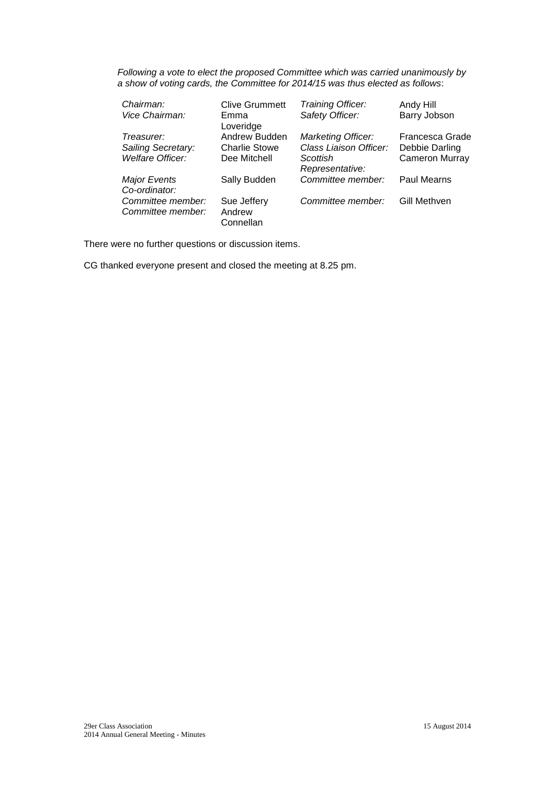*Following a vote to elect the proposed Committee which was carried unanimously by a show of voting cards, the Committee for 2014/15 was thus elected as follows*:

| Chairman:<br>Vice Chairman:            | <b>Clive Grummett</b><br>Emma<br>Loveridge | Training Officer:<br>Safety Officer: | Andy Hill<br>Barry Jobson |
|----------------------------------------|--------------------------------------------|--------------------------------------|---------------------------|
| Treasurer:                             | Andrew Budden                              | Marketing Officer:                   | Francesca Grade           |
| Sailing Secretary:                     | <b>Charlie Stowe</b>                       | Class Liaison Officer:               | Debbie Darling            |
| Welfare Officer:                       | Dee Mitchell                               | Scottish<br>Representative:          | <b>Cameron Murray</b>     |
| <b>Major Events</b><br>Co-ordinator:   | Sally Budden                               | Committee member:                    | <b>Paul Mearns</b>        |
| Committee member:<br>Committee member: | Sue Jeffery<br>Andrew<br>Connellan         | Committee member:                    | Gill Methven              |

There were no further questions or discussion items.

CG thanked everyone present and closed the meeting at 8.25 pm.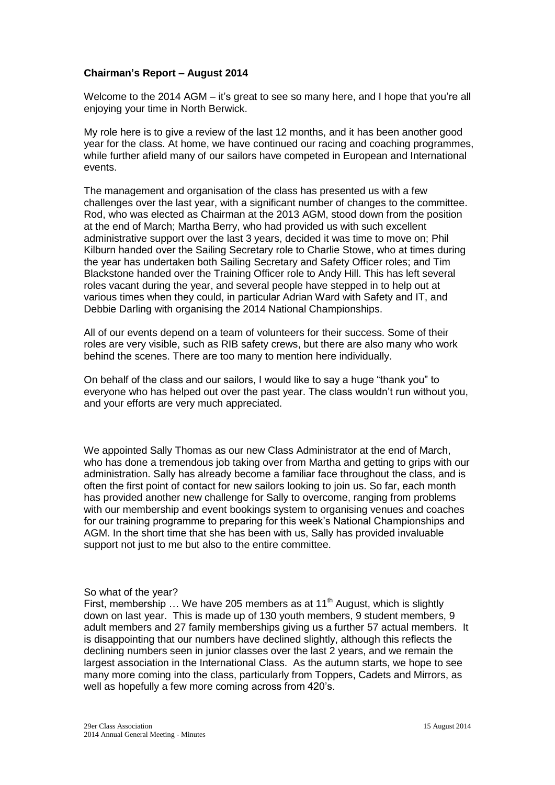## **Chairman's Report – August 2014**

Welcome to the 2014 AGM – it's great to see so many here, and I hope that you're all enjoying your time in North Berwick.

My role here is to give a review of the last 12 months, and it has been another good year for the class. At home, we have continued our racing and coaching programmes, while further afield many of our sailors have competed in European and International events.

The management and organisation of the class has presented us with a few challenges over the last year, with a significant number of changes to the committee. Rod, who was elected as Chairman at the 2013 AGM, stood down from the position at the end of March; Martha Berry, who had provided us with such excellent administrative support over the last 3 years, decided it was time to move on; Phil Kilburn handed over the Sailing Secretary role to Charlie Stowe, who at times during the year has undertaken both Sailing Secretary and Safety Officer roles; and Tim Blackstone handed over the Training Officer role to Andy Hill. This has left several roles vacant during the year, and several people have stepped in to help out at various times when they could, in particular Adrian Ward with Safety and IT, and Debbie Darling with organising the 2014 National Championships.

All of our events depend on a team of volunteers for their success. Some of their roles are very visible, such as RIB safety crews, but there are also many who work behind the scenes. There are too many to mention here individually.

On behalf of the class and our sailors, I would like to say a huge "thank you" to everyone who has helped out over the past year. The class wouldn't run without you, and your efforts are very much appreciated.

We appointed Sally Thomas as our new Class Administrator at the end of March, who has done a tremendous job taking over from Martha and getting to grips with our administration. Sally has already become a familiar face throughout the class, and is often the first point of contact for new sailors looking to join us. So far, each month has provided another new challenge for Sally to overcome, ranging from problems with our membership and event bookings system to organising venues and coaches for our training programme to preparing for this week's National Championships and AGM. In the short time that she has been with us, Sally has provided invaluable support not just to me but also to the entire committee.

## So what of the year?

First, membership  $\ldots$  We have 205 members as at 11<sup>th</sup> August, which is slightly down on last year. This is made up of 130 youth members, 9 student members, 9 adult members and 27 family memberships giving us a further 57 actual members. It is disappointing that our numbers have declined slightly, although this reflects the declining numbers seen in junior classes over the last 2 years, and we remain the largest association in the International Class. As the autumn starts, we hope to see many more coming into the class, particularly from Toppers, Cadets and Mirrors, as well as hopefully a few more coming across from 420's.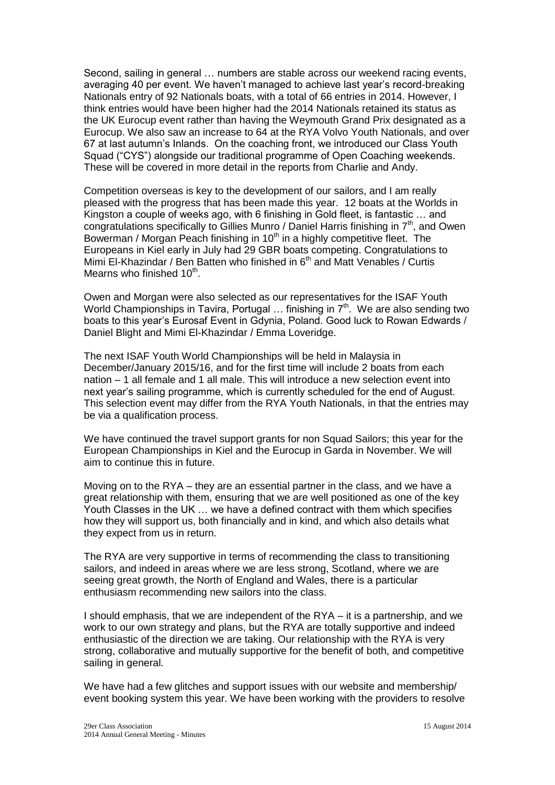Second, sailing in general … numbers are stable across our weekend racing events, averaging 40 per event. We haven't managed to achieve last year's record-breaking Nationals entry of 92 Nationals boats, with a total of 66 entries in 2014. However, I think entries would have been higher had the 2014 Nationals retained its status as the UK Eurocup event rather than having the Weymouth Grand Prix designated as a Eurocup. We also saw an increase to 64 at the RYA Volvo Youth Nationals, and over 67 at last autumn's Inlands. On the coaching front, we introduced our Class Youth Squad ("CYS") alongside our traditional programme of Open Coaching weekends. These will be covered in more detail in the reports from Charlie and Andy.

Competition overseas is key to the development of our sailors, and I am really pleased with the progress that has been made this year. 12 boats at the Worlds in Kingston a couple of weeks ago, with 6 finishing in Gold fleet, is fantastic … and congratulations specifically to Gillies Munro / Daniel Harris finishing in  $7<sup>th</sup>$ , and Owen Bowerman / Morgan Peach finishing in 10<sup>th</sup> in a highly competitive fleet. The Europeans in Kiel early in July had 29 GBR boats competing. Congratulations to Mimi El-Khazindar / Ben Batten who finished in 6<sup>th</sup> and Matt Venables / Curtis Mearns who finished 10<sup>th</sup>.

Owen and Morgan were also selected as our representatives for the ISAF Youth World Championships in Tavira, Portugal ... finishing in 7<sup>th</sup>. We are also sending two boats to this year's Eurosaf Event in Gdynia, Poland. Good luck to Rowan Edwards / Daniel Blight and Mimi El-Khazindar / Emma Loveridge.

The next ISAF Youth World Championships will be held in Malaysia in December/January 2015/16, and for the first time will include 2 boats from each nation – 1 all female and 1 all male. This will introduce a new selection event into next year's sailing programme, which is currently scheduled for the end of August. This selection event may differ from the RYA Youth Nationals, in that the entries may be via a qualification process.

We have continued the travel support grants for non Squad Sailors; this year for the European Championships in Kiel and the Eurocup in Garda in November. We will aim to continue this in future.

Moving on to the RYA – they are an essential partner in the class, and we have a great relationship with them, ensuring that we are well positioned as one of the key Youth Classes in the UK … we have a defined contract with them which specifies how they will support us, both financially and in kind, and which also details what they expect from us in return.

The RYA are very supportive in terms of recommending the class to transitioning sailors, and indeed in areas where we are less strong, Scotland, where we are seeing great growth, the North of England and Wales, there is a particular enthusiasm recommending new sailors into the class.

I should emphasis, that we are independent of the RYA – it is a partnership, and we work to our own strategy and plans, but the RYA are totally supportive and indeed enthusiastic of the direction we are taking. Our relationship with the RYA is very strong, collaborative and mutually supportive for the benefit of both, and competitive sailing in general.

We have had a few glitches and support issues with our website and membership/ event booking system this year. We have been working with the providers to resolve